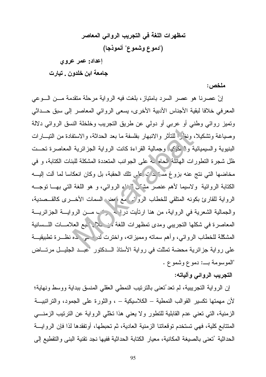تمظهرات اللغة في التجريب الروائي المعاصر ("دموع وشموع" أنموذجا)

إعداد: عمر عروي

جامعة ابن خلدون , تيارت

ملخص :

إنّ عصرنا هو عصر السرد بامتياز، بلغت فيه الرواية مرحلة منقدمة مـــن الـــوعي المعرفي خلافا لبقية الأجناس الأدبية الأخرى، يسعى الروائي المعاصر إلى سبق حــداثي وتميز روائي وطني أو عربي أو دولي عن طريق التجريب وخلخلة النسق الروائي دلالة وصبياغة وتشكيلا، ونغا ﴿ للنَّاثِرِ والانبهارِ بفلسفة ما بعد الحداثة، والاستفادة من النيسارات البنيوية والسيميائية والكميكيه وجمالية القراءة كانت الرواية الجزائرية المعاصرة تحست ظل شجرة التطورات الهائلة الحام به على الجوانب المتعددة المشكلة للبنات الكتابة، و في مخاضعها التبي نتج عنه بزوغ مسرٍّ بدَّ\ عاي نلك الحقبة، بل وكان انعكاسا لما ألت الببــه الكتابة الروائية ولاسيما لأهم عنصر مثنَّ الجناءِ الروائي، و هو اللغة التي بهـــا نوجـــه الرواية للقارئ بكونه المتلقى للخطاب الروئم مع وعض السمات الأخـــرى كالقـــصدية، والجمالية الشعرية في الرواية، من هنا ارتأيت دراسه حزب مـــن الروايـــة الجزائريـــة المعاصرة في شكلها التجريبي ومدى تمظهرات اللغة من لحلا خبع العلامسات اللسسانية المشكّلة للخطاب الروائـي، وأهم سماته ومميزاته، واخترت لدركــــي حده نظـــرة تطبيقيـــة على رواية جزائرية محضة تمثَّلت في رواية الأستاذ الــدكتور "عبــد الجليــل مرتـــاض "الموسومة بـــ: دموع وشموع .

### التجريب الروائي وألياته:

إن الرواية النجريبية، لم نعد ُنعني بالنرنيب النمطي العقلي المنسق ببداية ووسط ونهاية؛ لأن مهمتها تكسير القوالب النمطية – الكلاسيكية – ، والثورة على الجمود، والنراتبيــة الزمنية، التي نعني عدم القابلية للتطور ولا يعني هذا نخلي الرواية عن الترنيب الزمنـــي المتتابع كلية، فهي تستخدم تو قعاتنا الزمنية العادية، ثم تحبطها، أو تفقدها لذا فإن الر و ايسة الحداثية ′تعنى بالصيغة المكانية، معيار الكتابة الحداثية ففيها نجد نقنية البني والنقطيع إلى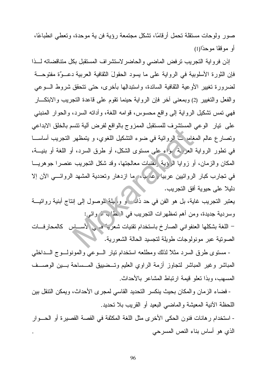صور ولوحات مستقلة نحمل أرقامًا، تشكل مجتمعة رؤية فن ية موحدة، ونعطى انطباعًا، أو مو قفًا موحدًا(1)

إذن فرواية التجريب ترفض الماضي والحاضر لاستشراف المستقبل بكل متناقضاته للذا فإن الثورة الأسلوبية في الرواية على ما يسود الحقولَ الثقافية العربية دعــوٌة مفتوحـــة لضرورة تغيير الأوعية الثقافية السائدة، واستبدالِها بأخرى، حتى نتحقق شروط الـــوعى والفعل والنغيير (2) وبمعنى أخر فإن الرواية حينما نقوم على قاعدة النجريب والابنكـــار فهي نَمس نَشْكَيْلِ الرواية إلى واقع محسوس، قوامه اللُّغة، وأدانـه السرد، والحوار المنبنـي على نيار الوعي المستشرف للمستقبل الممزوج بالواقع لفرض ألية نتسم بالخلق الابداعي ونصارع عالم المغامر ف الروائية في ضوء النشكيل اللغوي، و ينمظهر النجريب أساســـا في نطور الرواية العزَّبة وأو على مستوى الشكل، أو طرق السرد، أو اللغة أو بنيـــة، المكان والزمان، أو زوايا الرؤية يقنيات معالجتها، وقد شكل التجريب عنصرا جوهريــا في تجارب كبار الروائيين عربياً وعاليها ما ازدهار وتعددية المشهد الروائـــي الأن إلا دليلا على حيوية أفق التجريب.

يعتبر التجريب غاية، بل هو الفن في حد ذات و وا يلة لموصول إلى إنتاج أبنية روائيـــة وسردية جديدة، ومن أهم تمظهرات التجريب في الركما بي مروائي:

– اللغة بشكلها العنفواني الصارخ باستخدام نقنيات شعريت في لأســـاس كالمحارفـــات الصونية عبر مونولوجات طويلة لتجسيد الحالة الشعورية.

- مستوى طرق السرد مثلاً لذلك ومطلعه استخدام نيار السوعي والمونولسوج السداخلي المباشر وغير المباشر لتجاوز أزمة الراوي العليم وتــضييق المـــساحة بـــين الوصـــف المسهب، وبذا نعلو قيمة ارتباط المشاعر بالأحداث.

- فضاء الزمان والمكان بحيث ينكسر التحديد القاسي لمجرى الأحداث، ويمكن النتقل بين اللحظة الأنية المعيشة والماضبي البعيد أو القريب بلا تحديد.

- استخدام ر هانات فنون الحكي الأخرى مثل اللغة المكثفة في القصة القصيرة أو الحـــوار الذي هو أساس بناء النص المسرحي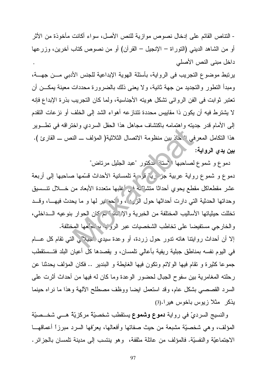- النتاص القائم على إدخال نصوص مو از ية للنص الأصل، سو اء أكانت مأخو ذة من الأثر ِ أو من الشاهد الدينـي (النوراة – الإنـجيل – القرآن) أو من نصـوص كتاب أخرين، وزرعها داخل مبنى النص الأصلي

يرتبط موضوع النجريب في الرواية، بأسئلة الهوية الإبداعية للجنس الأدبي مـــن جهـــة، ومبدأ النطور والنجديد من جهة ثانية، ولا يعني ذلك بالضرورة محددات معينة بمكـــن أن تعتبر ِ ثو ابت في الفن الرِّ وائي نشكل هو يته الأجناسية، ولما كان النجر بب بذر ة الإبداع فإنه لا يشترط فيه أن يكون ذا مقاييس محددة نتتازعه أهواء الشد إلى الخلف أو نزعات النقدم إلى الأمام قدر جدينه واهتمامه باكتشاف مجاهل هذا الحقل السردي واختراقه في نطـــوير هذا النكامل المعرفي الأحاذ بين منظومة الاتصال الثلاثية( المؤلف ـــ النص ـــ القارئ ). بين يدي الرواية:

دموع و شموع لصاحبها الأستان الدكتور "عبد الجليل مرتاض"

دموع و شموع رواية عربية جُزْ رِيَّ فَوْرَ ةِ تَلْمَسَانِيَةِ الأحداث قَسَّمَهَا صَاحِبِهَا إلى أربعة عشر مقطعاكل مقطع يحوي أحداثًا متشاكمة في أغلبها متعددة الأبعاد من خــــلال نتـــسيق وحداتها الحدثية التي دارت أحداثها حول الزرد ، وا حد بير لها و ما يحدث فيهـــا، وقـــد تخللت حيثياتها الأساليب المختلفة من الخبرية والإنَّ علَّه ` يم كان الحوار بنوعيه الـــداخلي، والخارجي مستفيضا على تخاطب الشخصيات عبر الرويب بديام هها المختلفة.

إلا أن أحداث روايتنا هاته ندور حول زردة، أو وعدة سيدي جيلًا بي التي نقام كل عـــام في اليوم نفسه بمناطق جبلية ريفية بأعالي تلمسان، و يقصدها كلِّ أعيان البلد فتــستقطب جموعًا كثيرة و نقام فيها الولائم ونكون فيها الغايطة و البندير .. فكان المؤلف يحدثنا عن رحلته المغامرية بين سفوح الجبال لحضور الوعدة وما كان له فيها من أحداث أثرت على السرد القصصبي بشكل عام، وقد استعمل ايضا ووظف مصطلح الألهة وهذا ما نراه حينما يذكر مثلا زيوس باخوس هيرا.(3)

والنسيج السرديّ في رواية دموع وشموع يستقطب شخصيّة مركزيّة هـــي شخــصيّة المؤلف، وهي شخصيَّة مشبعة من حيث صفاتها وأفعالها، يعرِّفها السرد مبرزاً أعماقهـــا الاجتماعيَّة والنفسيَّة. فالمؤلف من عائلة مثقفة، وهو ينتسب إلى مدينة تلمسان بالجزائر .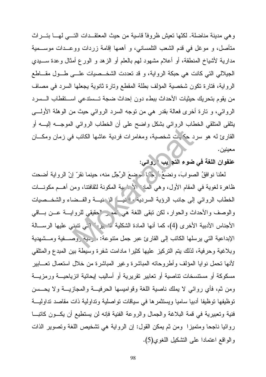وهي مدينة مناضلة. لكنَّها نعيش ظروفًا قاسية من حيث المعتقــدات النَّـــي لمهـــا بنـــراث متأصل، و موغل في قدم الشعب النامسانـي، و أهمها إقامة زردات ووعــدات موســـمية مدارية لأشياخ المنطقة، أو أعلام مشهود لمهم بالعلم أو الزهد و الورع أمثال وعدة ســــيدي الجيلالي التي كانت هي حبكة الرواية، و قد نعددت الشخــصيات علـــي طـــول مقـــاطـع الرواية، فتارة تكون شخصية المؤلف بطلة المقطع وتارة ثانوية يجعلها السرد في مصاف من يقوم بتحريك حيثيات الأحداث ببطء دون إحداث ضجة تـــستدعى اســـتقطاب الـــسرد الروائـي، و نارة أخرى فعالـة بقدر هـي من نوجه السرد الروائـي حيث من الوهلـة الأولــــي ينلقي المتلقى الخطاب الروائي بشكل واضح علىي أن الخطاب الروائبي الموجسه إليسه أو القارئ له هو سرد حكيت شخصية، ومغامرات فردية عاشها الكانب في زمان ومكـــان معبنبن.

عنفوان اللغة في ضوء التد يب روائي:

لعلنا نوافقُ الصوابَ، ونضعُمْ كِمُرْبا لَمَوضِعَ الرِّجْلِ منه، حينما نقرّ إنّ الرواية أضحت ظاهرة لغوية في المقام الأول، وهي المان الأضرية المكونة لثقافتنا، ومن أهــم مكونـــات الخطاب الروائي إلى جانب الرؤية السردية واينيه الزمنية والفسضاء والشخسصيات والوصف والأحداث والحوار، لكن نبقى اللغة هي `هو بر''حقيقى للروايـــة عـــن بـــاقى الأجناس الأدبية الأخرى (4)، كما أنها المادة الشكلية لتسيرا في نتبنى عليها الرسالة الإبداعية التي يرسلها الكاتب إلى القارئ عبر جمل متنوعة: ﴿ حِيهُ وَصِـــفيةٌ ومـــشهدية وبلاغية وحرفية، لذلك يتم النركيز عليها كثيرًا مادامت شفرة وسيطة بين المبدع والمتلقى لأنها نحمل نوايا المؤلف وأطروحاته المباشرة وغير المباشرة من خلال استعمال تعـــابير مسكوكة أو مستتسخات تناصبية أو تعابير تقريرية أو أساليب إيحائية انزياحيـــة ورمزيــــة ومن ثم، فأي روائي لا يملك ناصية اللغة وقواميسها الحرفيـــة والمجازيــــة ولا يحـــسن نوظيفها نوظيفا أدبيا ساميا ويستثمرها في سياقات نواصلية ونداولية ذات مقاصد نداوليـــة فنية وتعبيرية في قمة البلاغة والجمال والروعة الفنية فإنه لن يستطيع أن يكــون كاتبـــا روائيا ناجحا ومتميزًا ومن ثم يمكن القول: إن الرواية هي نشخيص اللغة ونصوير الذات والواقع اعتمادا على النشكيل اللغوى(5).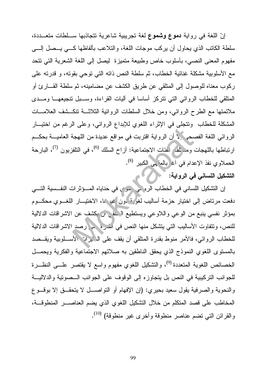إنّ اللغة في رواية دموع وشموع لغة تجريبية شاعرية تتجاذبها ســلطات متعـــددة، سلطة الكاتب الذي يحاول أن يركب موجات اللغة، والتلاعب بألفاظها كـــي يـــصل إلـــي مفهوم المعنى النصبي، بأسلوب خاص وطبيعة متميزة ليصل إلى اللغة الشعرية التي نتحد مع الأسلوبية مشكلة غنائية الخطاب، ثم سلطة النص ذاته التي توحي بقوته، و قدرته على ركوب معناه للوصول إلى المنلقى عن طريق الكشف عن مضامينه، ثم سلطة القـــار ئ أو المتلقى للخطاب الروائي التي نتركز أساسا في أليات القراءة، وســـبل نتجيعهـــا ومـــدى ملائمتها مع الطرح الروائبي، ومن خلال السلطات الروائية الثلاثـــة تنكـــشف العلامـــات المشكلة للخطاب ونتجلَّى في الإثراء اللُّغوي للإبداع الروائي، وعلى الرغم من اختيــار الروائي اللغة الفصحى إلى الله الله القربت في مواقع عديدة من اللهجة العاميـــة بحكـــم ارتباطها باللهجات ومرَّنف أغنات الاجتماعية: أزاح السلك <sup>(6)</sup>، في التلفزيون <sup>(7)</sup>، البارحة الحملاوي نفذ الإعدام في آغ (بالمقبى الكبير <sup>(8)</sup>. التشكيل اللسانى فى الرواية: `

إن التشكيل اللساني في الخطاب الروشي حرى في حناياه المسؤثرات النفسية التسي دفعت مرتاض إلى اختيار حزمة أساليب لغوي<sup>ة إ</sup>ون غير ما، الاختيـــار اللغـــوي محكـــوم بمؤثِّر نفسي ينبع من الوعي واللاوعي ويستطيعُ الهلق من يكشف عن الاشراقات الدلالية للنص، وتتفاوت الأساليب التي يتشكل منها النص في اسرة جي رصد الاشراقات الدلالية للخطاب الروائي، فالأمر منوط بقدرة المتلقى أن يقف على الـ يران الأســـلوبية ويقـــصد بالمستوى اللغوي النموذج الذي يحقق الناطقين به صلاتهم الاجتماعية والفكرية ويحمــل الخصائص اللغوية المتعددة <sup>(9)</sup>، والتشكيل اللغوي مفهوم واسع لا يقتصر علـــى النظـــرة للجوانب التركيبية في النص بل يتجاوزه إلى الوقوف على الجوانب الـموتية والدلاليــة والنحوية والصرفية يقول سعيد بحيري: (إن الإفهام أو النواصـــل لا يتحقـــق إلا بوقـــوع المخاطب على قصد المتكلم من خلال التشكيل اللغوي الذي يضم العناصــــر المنطوقـــة، والقرائن التي تضم عناصر منطوقة وأخرى غير منطوقة) <sup>(10)</sup>.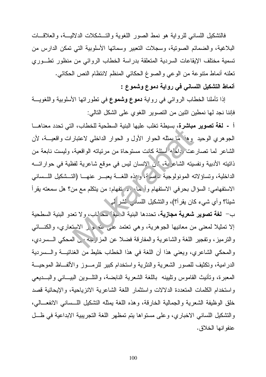فالتشكيل اللسانبي للرواية هو نمط الصور اللغوية والتــشكلات الدلاليـــة، والـعلاقـــات البلاغية، والضمائم الصونية، وسجلات النعبير وسماتها الأسلوبية التي نمكن الدارس من تسمية مختلف الإيقاعات السردية المتعلقة بدراسة الخطاب الروائبي من منظور تطـوري نعلنه أنماط منتوعة من الوعي والصوغ الحكائي المنظم لانتظام النص الحكائي. أنماط التشكيل اللساني في رواية دموع وشموع :

إذا نَأْمَلْنَا الْخطَابِ الروائي في رواية **دموع وشُموع** في نطور اتها الأسلوبية واللغويـــة فإننا نجد لها نمطين اثنين من التصوير اللغوي على الشكل التالي:

أ - لغة تصوير مباشرة، بسيطة تغلب عليها البنية السطحية للخطاب، التي تحدد معناهــا الجوهري الوحيد وهفضما يمثله الحوار الأول و الحوار الداخلي لاعتبارات واقعيـــة، لأن الشاعر لما نصارعت وداد له أسئلة كانت مستوحاة من مرئياته الواقعية، وليست نابعة من ذاتيته الأدبية ونفسيته الشاعر بة، ' ن الإنسان ليس في موقع شاعرية لفظية في حواراتـــه الداخلية، وتساؤلاته المونولوجية ، فسه ق، و مذه اللغـــة يعبـــر عنـهــــا (التـــشكيل اللـــسانــى الاستفهامي: السؤال بحرفي الاستفهام وأحمله من نفهام: من يتكلم مع من؟ هل سمعته يقرأ شيئًا؟ وأي شيء كان يقرأ؟)، والتشكيل اللسامر الشر لـ

ب– لغة تصوير شعرية مجازية، تحددها البنية الرمية للحراب، ولا تعدو البنية السطحية إلا نَمثيلاً لمعنى من معانيها الجوهرية، وهي نعتمد علي الله هو بر الاستعاري، والكنـــائـي والنرميز، وتفجير اللغة والشاعرية والمفارقة فضلا عن المزارجه في المحكي الـــسردي، والمحكي الشاعري، ويعني هذا أن اللغة في هذا الخطاب خليط من الغنائيـــة والــــسردية الدرامية، ونكثيف للصور الشعرية والنثرية واستخدام كبير للرمـوز والألفــاظ الموحيـــة المعبرة، ونأنيث القاموس ونليينه باللغة الشعرية النابضة، والناوين البيــانـي والبـــديعـي واستخدام الكلمات المتعددة الدلالات واستثمار اللغة الشاعرية الانزياحية، والإيحائية قصد خلق الوظيفة الشعرية والجمالية الخارقة، وهذه اللغة بمثله التشكيل اللــساني الانفعـــالي، والتشكيل اللساني الاخباري، وعلى مستواها بتم تمظهر اللغة التجريبية الابداعية في ظـــل عنفو انها الخلاق.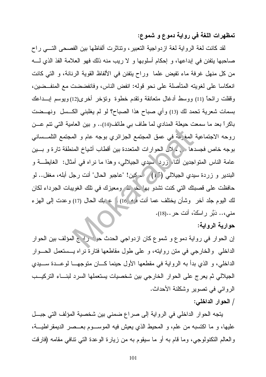تمظهرات اللغة في رواية دموع و شموع:

لقد كانت لغة الرواية لغة ازدواجية التعبير، ونتاثرت ألفاظها بين الفصحى التسى راح صاحبها ينفنن في إبداعها، و إحكام أسلوبها و لا ريب منه ذلك فهو العلامة الفذ الذي لـــه من كل منهل غرفة ماء نفيض علما ۖ وراحٍ ينفنن في الألفاظ القوية الرنانة، و التي كانت انعكاسا على لغويته المتأصلة على نحو قوله: انفض الناس، وفانفضضت مع المنفــضين، وقفلت رائحاً (11) ووسط أدغال متعانقة وتقدم خطوة وتؤخر أخرى(12)ويوسم إبـــداعك بسمات شعرية نحمد لك (13) وأي صباح هذا الصباح؟ لو لم يغلبني الكــسل ونهــضت باكراً بعد ما سمعت حيعلة المنادي لما طاف بي طائف(14).. و بين العامية التي نتم عـــن روحه الاجتماعية المغرَّمة في عمق المجتمع الجزائري بوجه عام و المجتمع التلمــسانـي بوجه خاص فجسدها في كملا الحوارات المتعددة بين أقطاب أشياخ المنطقة تارة و بسين عامة الناس المتواجدين أثناء زرد سيدي الجيلالي، وهذا ما نراه في أمثال: الغايطـــة و البندير و زردة سيدي الجيلالي (15) مسكين! "عاجبو الحال" أنت رجل أبله، مغفل.. لو حافظت على قصبتك التي كنت تشدو بها خركته ومعيزك في تلك الغويبات الجرداء لكان لك اليوم جلد أخر وشأن يختلف عما أنت مره 16 ) ] ع بك الحال (17) وعدت إلى الهزء مني،.. دَبَّر راسكْ، أنت حر ..(18).

## حوارية الرواية:

إن الحوار في رواية دموع و شموع كان ازدواجي الحدث حين راسج المؤلف بين الحوار الداخلي والخارجي في متن روايته، و على طول مقاطعها فتارةٌ نراه يـــستعمل الحـــوار الداخلي، و الذي بدأ به الرواية في مقطعها الأول حينما كـــان متوجهـــا لوعـــدة ســـيدي الجيلالي ثم يعرج على الحوار الخارجي بين شخصيات يستعملها السرد لبنساء التركيسب الروائي في تصوير وشكلنة الأحداث.

### / الحوار الداخلي:

يتجه الحوار الداخلي في الرواية إلى صراع ضمني بين شخصية المؤلف التي جبـــل عليها، و ما اكتسبه من علم، و المحيط الذي يعيش فيه الموســـوم بعـــصر الديمقراطيـــة، والعالم النكنولوجي، وما قام به أو ما سيقوم به من زيارة الوعدة التي نتافي مقامه (فارقت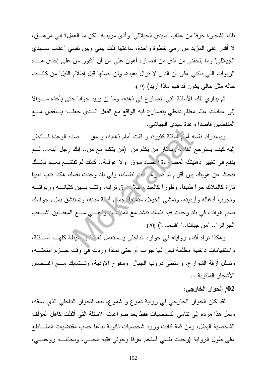نلك الشجيرة خوفًا من عقاب "سيدي الجيلالي" وأذى مريديه لكن ما العمل؟ إني مر هـــق، لا أقدر على المزيد من رمي خطوة واحدة، ساعتها قلت بيني وبين نفسي "عقاب ســـيدي الجيلالـي" وما يلحقنـي من أذى من أنصـار ه أهون علـي من أن أتكور منْ علـي إحدى هـــذه الربوات التي دلنتي على أن الدار لا نزال بعيدة، ولن أصلها قبل إظلام الليل" من كانـــت حاله مثل حالي يكون قد فهم ماذا أريد) (19).

ثم يداري تلك الأسئلة التي تتصارع في ذهنه، وما إن يريد جوابا حتى يأخذه ســـؤالا إلى غيابات عالم مظلم داخلي يتصارع فيه الواقع مع الفعل الــذي جعلـــه يـــنفض مـــع المنفضين قاصدا وعدة سيدى الجيلالي.

ويستدرك نفسه أمام اسئلة كثيرة، و قفت أمام ذهابه، و مق صده الوعدة فـــانظر الليه كيف يسترجع أنفا له إيدتار من يكلم من (من يتكلم مع من.. إنك رجل أبله،.. لــم ينفع في تغيير ذهنيتك المصا وءة الحماد سوق ولا عولمة.. كأنك لم تقتنـــع بعـــد بأنـــك تبحث عن هويتك بين أقوام لم تُمْسَرِهِ لَمْ لَبَّ لنفسك، وفي بلد وجدت نفسك هكذا تدب دبيباً نارة كالملاك حراً طليقًا، وطوراً كالعبد مَ<sup>ن</sup>بلًا من في نرابه، وتثب بـــين كثبانــــه وربوانــــه وتجوب أدغاله وأوديته، وتمشى الخيلاء متَّمَّ ما بَجمًا ) أنَّ نه مدنه، وتستتشق بملء حواسك نسيم هوائه، في بلد وجدت فيه نفسك نتشد مع المن<sup>ع ب</sup>بن وتخنسي مسع المغنسين "شسعب الجزائر".. "من جبالنا.." "قسما..") (20)

وهكذا نراه أثناء روايته في حواره الداخلي يـــستعمل لغم تسب هيطة كلهـــا أســـئلة، واستفهامات داخلية مظلمة ليس لها جواب أو حتى لماذا وردت في وقت حـــزم أمتعتـــه، ونسلل أزقة الشوارع، وامتطى دروب الجبال وسفوح الاودية، وتــشابك مـــع أغــصان الأشجار الملتوية ..

# 02/ الحوار الخارجي:

لقد كان الحوار الخارجي في رواية دموع و شموع، تبعا للحوار الداخلي الذي سبقه، ولعل هذا مرده إلى نتامى الشخصيات فقط بعد صراعات الأسئلة التي أثقلت كاهل المؤلف الشخصية البطل، ومن ثمة كانت ورود شخصيات ثانوية تباعا حسب مقتضيات المقـــاطـع على طول الرواية (وجدت نفسي أستحم عرقاً وحولبي فقيه الحـــي، وبجانبـــه زوجتـــي،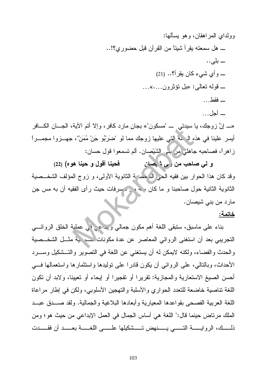«ــ إنَّ زوجك، يا سبدتـي ـــ "مسكون"» بجانٍ مارد كافرٍ، وإلا أتم الآية، الجـــان الكـــافر أيسر علينا في هذه اله له التي عليها زوجك مما لو "ضَرْبُو جَنْ مُمَنْ"، جهــزوا مجمــراً ز اهر أ، فصاحبه جاهلي مِن بَنْدٍ, الشَّيْصِانِ. ألم تسمعوا قول حسان:

و لمي صاحب من إلى شيصان فحينا أقول و حينا هو ٥) (22) وقد كان هذا الحوار بين فقيه الحي الله خصة الثانوية الأولى، و زوج المؤلف الشخــصية الثانوية الثانية حول صاحبنا و ما كان معهم متحمرفات حيث رأى الفقيه أن به مس جن مارد من بني شيصان.

#### خاتمة:

بناء على ماسبق، سنبقى اللغة أهم مكون جمالي ويبداع في عملية الخلق الروائـــي النجريبي بعد أن استغنى الروائبي المعاصر عن عدة مكونات سعر بية مثــل الشخــصية والحدث والفضاء، ولكنه لايمكن له أن يستغني عن اللغة في النصوير والتـــشكيل وســــرد الأحداث، وبالنالبي، علي الروائبي أن يكون قادر ا علي نوليدها و استثمار ها و استعمالها في أحسن الصيغ الاستعارية والمجازية: تقريرًا أو تفجيرًا أو إيحاء أو تعيينًا، ولابد أن تكون اللغة نتاصية خاضعة للتعدد الحواري والأسلبة والتهجين الأسلوبي، ولكن في إطار مراعاة اللغة العربية الفصحى بقواعدها المعيارية وأبعادها البلاغية والجمالية. ولقد صــدق عبــد الملك مر تاض حينما قال:" اللغة هي أساس الجمال في العمل الإبداعي من حيث هو ؛ و من ذلمـــك، الروايـــــة التــــــى يـــــــنهض تـــــشكيلها علــــــى اللغــــــة بعـــــد أن فقـــــدت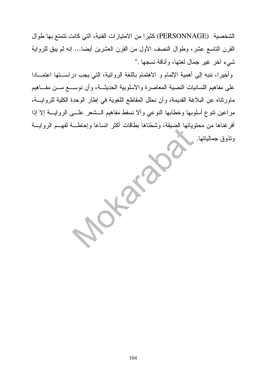الشخصية (PERSONNAGE) كثيرا من الامتيازات الفنية، التي كانت تتمتع بها طوال القرن التاسع عشر، وطوال النصف الأول من القرن العشرين أيضا... إنه لم يبق للرواية شيء أخر غير جمال لغتها، وأناقة نسجها ."

وأخيرًا، ننبه إلى أهمية الإلمام و الاهتمام باللغة الروائية، التي يجب دراســتها اعتمـــادا على مفاهيم اللسانيات النصية المعاصرة والأسلوبية الحديثــة، وأن نوســـع مـــن مفـــاهيم ماورثناه عن البلاغة القديمة، وأن نحلل المقاطع اللغوية في إطار الوحدة الكلية للروايـــة، مراعين نتوع أسلوبها وخطابها النوعي وألا نسقط مفاهيم الـــشعر علــــي الروايــــة إلا إذا أفرغناها من محتوياتها الضيقة، وشحّناها بطاقات أكثر انساعا وإحاطـــة لفهـــم الروايـــة وتذوق جمالياتها.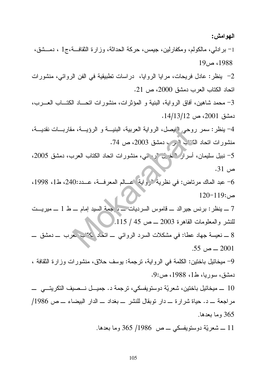1– برادلي، مالكولم، ومكفارلين، جيمس، حركة الحداثة، وزارة الثقافــة،ج1 ، دمـــشق،  $19_{0}$ ء ص $1988$ 2– ينظر : عادل فريحات، مرايا الروايا، دراسات نطبيقية في الفن الروائي، منشورات اتحاد الكتاب العرب دمشق 2000، ص 21. 3– محمد شاهين، أفاق الرواية، البنية و المؤثرات، منشورات اتحـــاد الكتـــاب العـــرب، دمشق 2001، ص 14/13/12. 4– ينظر: سمر روحي النيصل، الرواية العربية، البنيـــة و الرؤيـــة، مقاربـــات نقديـــة، منشورات اتحاد الكتاب الرك دمشق 2003، ص 74. 5- نبيل سليمان، أسرار "خَدَيْن "رِحِيْني، منشورات اتحاد الكتاب العرب، دمشق 2005، ص 31. 6- عبد الماك مرتاض: في نظرية "رواية عسالم المعرفــة، عــدد:240، ط1، 1998،  $120-119$ : ص 7 ـــ ينظر : برنس جير الد ــــ قاموس السر ديات ــــ و جمة السيد إمام ـــ ط 1 ــــ مير يـــت للنشر والمعلومات القاهرة 2003 ـــ ص 45 / 115. ، حرب \_ دمشق \_ 8 ـــ نعيسة جهاد عطا: في مشكلات السرد الروائي ـــ اتحاد ك<sup>مي</sup>ن  $.55\sim 2001$ 9- ميخائيل باختين: الكلمة في الرواية، نرجمة: يوسف حلاق، منشورات وزارة الثقافة ، دمشق، سوريا، ط1، 1988، ص:9. 10 ـــ ميخائيل باختين، شعريّة دوستويفسكي، ترجمة د. جميـــل نـــصيف التكريتــــي ــــ مر اجعة ـــ د. حياة شر ار ة ـــ دار نوبقال للنشر ــ بغداد ـــ الدار البيضاء ـــ ص 1986/ 365 وما بعدها.

11 ـــ شعريَّة دوستويفسكي ــــ ص 1986/ 365 وما بعدها.

اليھو امش: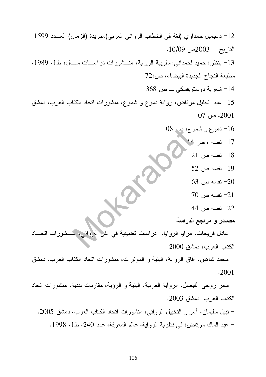12– د.جميل حمداوي (لغة في الخطاب الروائي العربي)،جريدة (الزمان) العـــدد 1599 التاريخ – 2003ص 10/09. 13- ينظر: حميد لحمداني:أسلوبية الرواية، منــشورات دراســـات ســـال، ط1، 1989، مطبعة النجاح الجديدة البيضاء، ص:72 14- شعريّة دوستويفسكي ــــ ص 368 15– عبد الجليل مرتاض، رواية دموع و شموع، منشورات اتحاد الكتاب العرب، دمشق  $07 \sim 2001$ 16– دموع و شموع، صر 08 17- نفسه ، ص مد  $21$  نفسه ص $-18$  $52$  نفسه ص $-19$  $-63$  نفسه ص $-20$  $70\,$ نفسه ص  $-21\,$ 22– نفسه ص 44 <u>مصادر و مراجع الدراسة:</u> – عادل فريحات، مرايا الروايا، دراسات نطبيقية في الفل الروائي. الكتاب العرب، دمشق 2000. – محمد شاهين، أفاق الرواية، البنية و المؤثرات، منشورات اتحاد الكتاب العرب، دمشق .2001 – سمر روحي الفيصل، الرواية العربية، البنية و الرؤية، مقاربات نقدية، منشورات اتحاد الكتاب العرب دمشق 2003. – نبيل سليمان، أسرار التخييل الروائي، منشورات اتحاد الكتاب العرب، دمشق 2005. – عبد الماك مرتاض: في نظرية الرواية، عالم المعرفة، عدد:240، ط1، 1998.